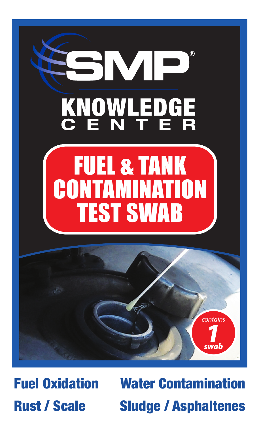

Fuel Oxidation Rust / Scale

Water Contamination Sludge / Asphaltenes